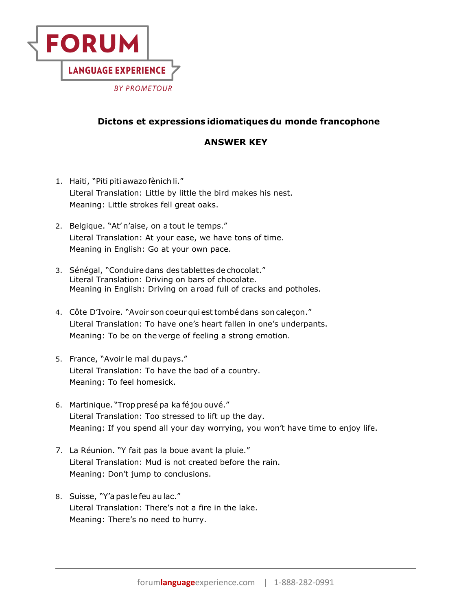

## **Dictons et expressions idiomatiques du monde francophone**

## **ANSWER KEY**

- 1. Haiti, "Piti piti awazo fènich li." Literal Translation: Little by little the bird makes his nest. Meaning: Little strokes fell great oaks.
- 2. Belgique. "At' n'aise, on a tout le temps." Literal Translation: At your ease, we have tons of time. Meaning in English: Go at your own pace.
- 3. Sénégal, "Conduire dans des tablettes de chocolat." Literal Translation: Driving on bars of chocolate. Meaning in English: Driving on a road full of cracks and potholes.
- 4. Côte D'Ivoire. "Avoir son coeur qui est tombé dans son caleçon." Literal Translation: To have one's heart fallen in one's underpants. Meaning: To be on the verge of feeling a strong emotion.
- 5. France, "Avoir le mal du pays." Literal Translation: To have the bad of a country. Meaning: To feel homesick.
- 6. Martinique. "Trop presé pa ka fé jou ouvé."  Literal Translation: Too stressed to lift up the day. Meaning: If you spend all your day worrying, you won't have time to enjoy life.
- 7. La Réunion. "Y fait pas la boue avant la pluie." Literal Translation: Mud is not created before the rain. Meaning: Don't jump to conclusions.
- 8. Suisse, "Y'a pas le feu au lac."  Literal Translation: There's not a fire in the lake. Meaning: There's no need to hurry.